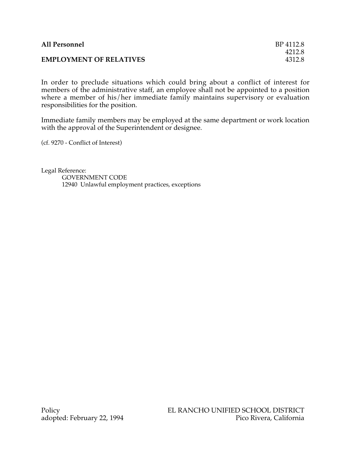| <b>All Personnel</b>           | BP 4112.8 |
|--------------------------------|-----------|
|                                | 4212.8    |
| <b>EMPLOYMENT OF RELATIVES</b> | 4312.8    |

In order to preclude situations which could bring about a conflict of interest for members of the administrative staff, an employee shall not be appointed to a position where a member of his/her immediate family maintains supervisory or evaluation responsibilities for the position.

Immediate family members may be employed at the same department or work location with the approval of the Superintendent or designee.

(cf. 9270 - Conflict of Interest)

Legal Reference: GOVERNMENT CODE 12940 Unlawful employment practices, exceptions